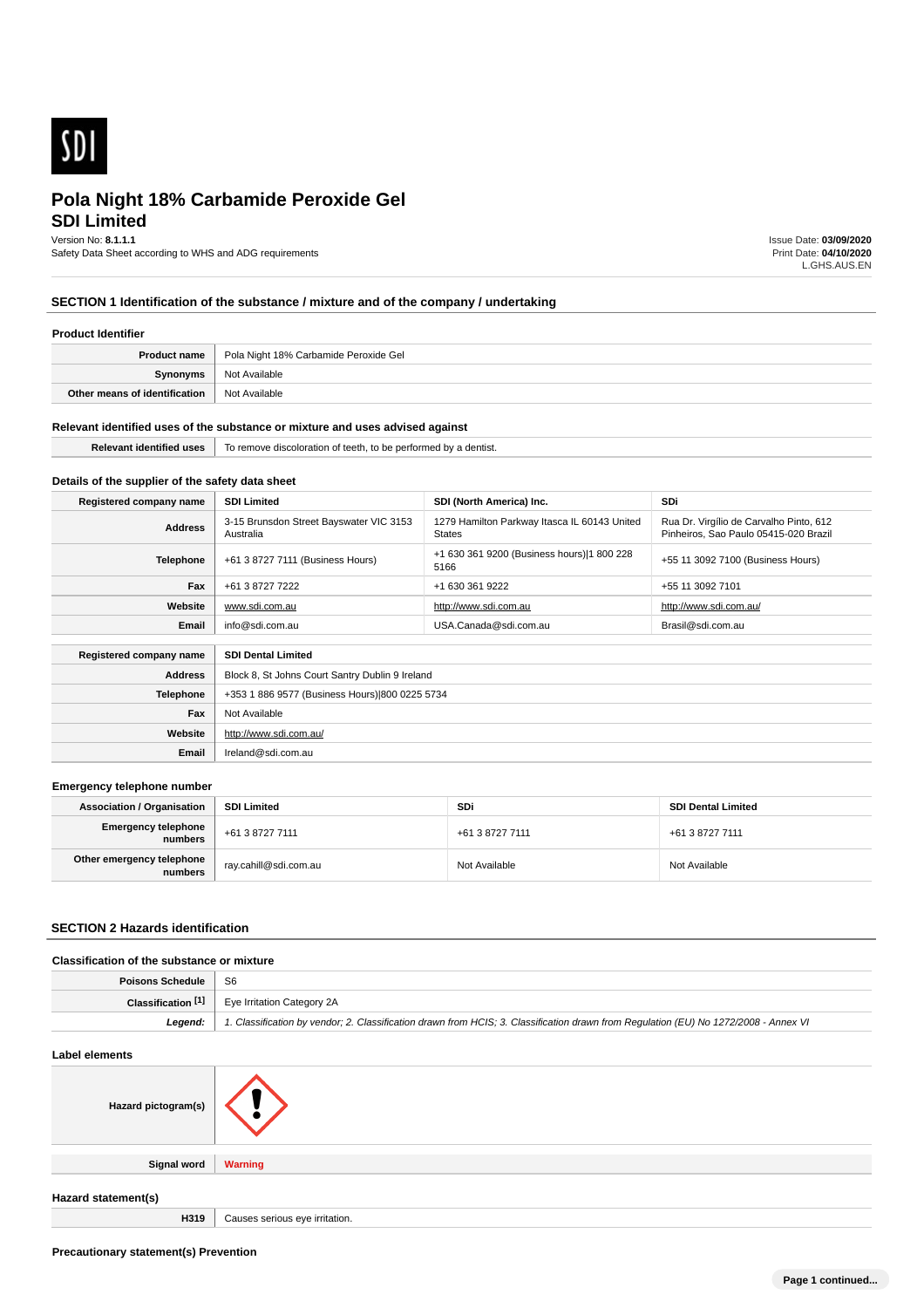

# **SDI Limited Pola Night 18% Carbamide Peroxide Gel**

Version No: **8.1.1.1**

Safety Data Sheet according to WHS and ADG requirements

Issue Date: **03/09/2020** Print Date: **04/10/2020** L.GHS.AUS.EN

## **SECTION 1 Identification of the substance / mixture and of the company / undertaking**

### **Product Identifier**

| <b>Product name</b>           | Pola Night 18% Carbamide Peroxide Gel |
|-------------------------------|---------------------------------------|
| Synonyms                      | Not Available                         |
| Other means of identification | Not Available                         |

#### **Relevant identified uses of the substance or mixture and uses advised against**

| 11.1<br>teetn.<br><del>מי ז</del> ים מסו <b>ו</b> מותה<br>≅ntis⊾<br>TO TEL<br>periorme<br>$\cdots$<br>.<br>. |
|--------------------------------------------------------------------------------------------------------------|
|                                                                                                              |

# **Details of the supplier of the safety data sheet**

| Registered company name                              | <b>SDI Limited</b>                                   | SDI (North America) Inc.                                      | <b>SDi</b>                                                                       |
|------------------------------------------------------|------------------------------------------------------|---------------------------------------------------------------|----------------------------------------------------------------------------------|
| <b>Address</b>                                       | 3-15 Brunsdon Street Bayswater VIC 3153<br>Australia | 1279 Hamilton Parkway Itasca IL 60143 United<br><b>States</b> | Rua Dr. Virgílio de Carvalho Pinto, 612<br>Pinheiros, Sao Paulo 05415-020 Brazil |
| Telephone                                            | +61 3 8727 7111 (Business Hours)                     | +1 630 361 9200 (Business hours) 1 800 228<br>5166            | +55 11 3092 7100 (Business Hours)                                                |
| Fax                                                  | +61 3 8727 7222                                      | +1 630 361 9222                                               | +55 11 3092 7101                                                                 |
| Website                                              | www.sdi.com.au                                       | http://www.sdi.com.au                                         | http://www.sdi.com.au/                                                           |
| Email                                                | info@sdi.com.au                                      | USA.Canada@sdi.com.au                                         | Brasil@sdi.com.au                                                                |
| Registered company name<br><b>SDI Dental Limited</b> |                                                      |                                                               |                                                                                  |
|                                                      |                                                      |                                                               |                                                                                  |
| <b>Address</b>                                       | Block 8, St Johns Court Santry Dublin 9 Ireland      |                                                               |                                                                                  |
| <b>Telephone</b>                                     | +353 1 886 9577 (Business Hours) 800 0225 5734       |                                                               |                                                                                  |
| Fax                                                  | Not Available                                        |                                                               |                                                                                  |

# **Emergency telephone number**

**Website**

**Email** Ireland@sdi.com.au

http://www.sdi.com.au/

| <b>Association / Organisation</b>    | <b>SDI Limited</b>    | <b>SDi</b>      | <b>SDI Dental Limited</b> |
|--------------------------------------|-----------------------|-----------------|---------------------------|
| Emergency telephone<br>numbers       | +61 3 8727 7111       | +61 3 8727 7111 | +61 3 8727 7111           |
| Other emergency telephone<br>numbers | ray.cahill@sdi.com.au | Not Available   | Not Available             |

#### **SECTION 2 Hazards identification**

#### **Classification of the substance or mixture**

| Poisons Schedule | - S6                                                                                                                                 |
|------------------|--------------------------------------------------------------------------------------------------------------------------------------|
|                  | <b>Classification <math>\begin{bmatrix} 1 \end{bmatrix}</math></b> Eye Irritation Category 2A                                        |
| Leaend:          | 1. Classification by vendor; 2. Classification drawn from HCIS; 3. Classification drawn from Requlation (EU) No 1272/2008 - Annex VI |

# **Label elements Hazard pictogram(s) Signal word Warning Hazard statement(s) H319** Causes serious eve irritation.

**Precautionary statement(s) Prevention**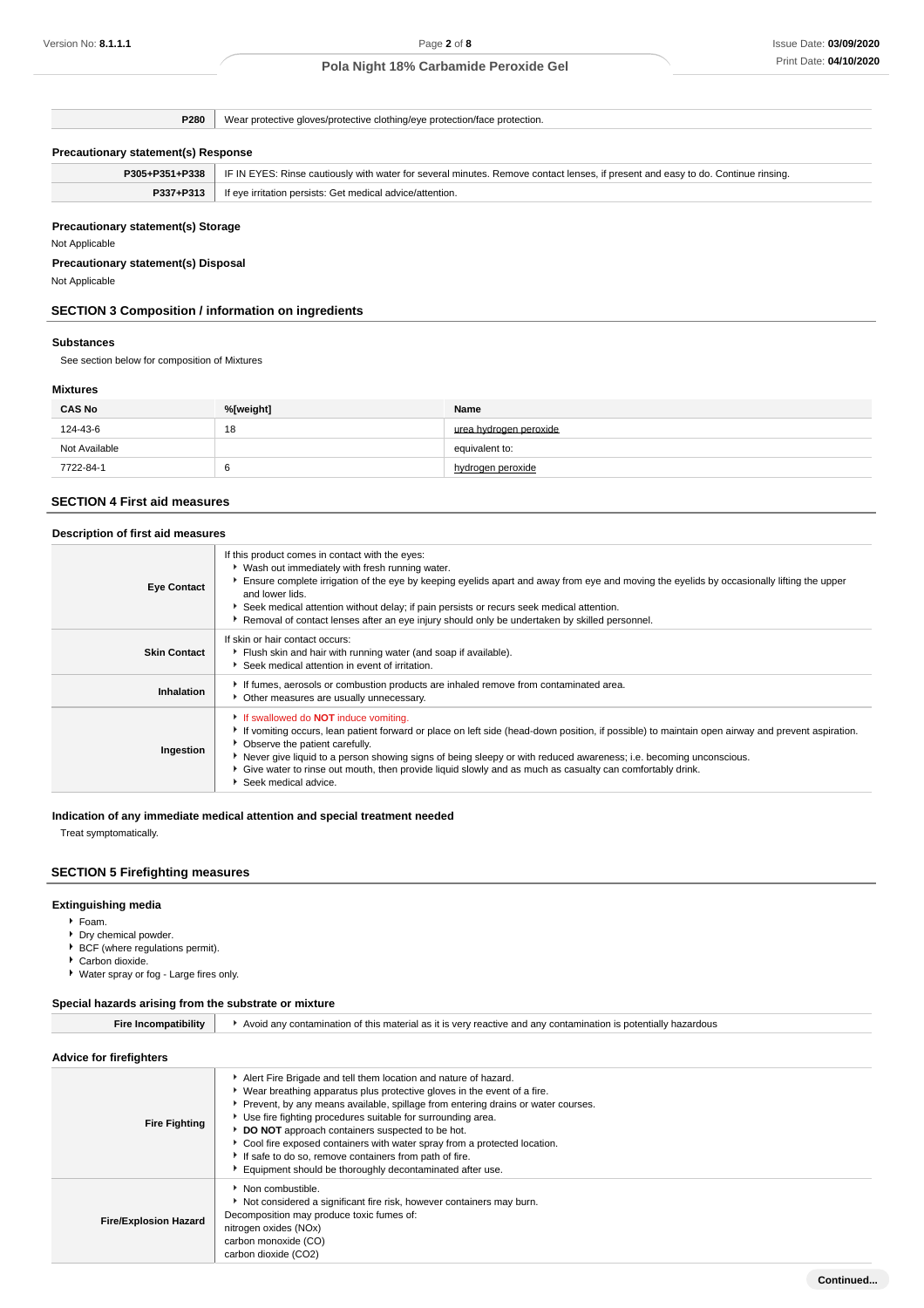**P280** Wear protective gloves/protective clothing/eye protection/face protection.

### **Precautionary statement(s) Response**

| P305+P351+P338 | . IF IN EYES: Rinse cautiously with water for several minutes. Remove contact lenses, if present and easy to do. Continue rinsing. |
|----------------|------------------------------------------------------------------------------------------------------------------------------------|
| P337+P313      | If eye irritation persists: Get medical advice/attention.                                                                          |

### **Precautionary statement(s) Storage**

Not Applicable

### **Precautionary statement(s) Disposal**

Not Applicable

## **SECTION 3 Composition / information on ingredients**

#### **Substances**

See section below for composition of Mixtures

### **Mixtures**

| <b>CAS No</b> | %[weight] | Name                   |
|---------------|-----------|------------------------|
| 124-43-6      | 18        | urea hydrogen peroxide |
| Not Available |           | equivalent to:         |
| 7722-84-1     |           | hydrogen peroxide      |

### **SECTION 4 First aid measures**

| Description of first aid measures |                                                                                                                                                                                                                                                                                                                                                                                                                                                                                                |  |
|-----------------------------------|------------------------------------------------------------------------------------------------------------------------------------------------------------------------------------------------------------------------------------------------------------------------------------------------------------------------------------------------------------------------------------------------------------------------------------------------------------------------------------------------|--|
| <b>Eye Contact</b>                | If this product comes in contact with the eyes:<br>▶ Wash out immediately with fresh running water.<br>Ensure complete irrigation of the eye by keeping eyelids apart and away from eye and moving the eyelids by occasionally lifting the upper<br>and lower lids.<br>Seek medical attention without delay; if pain persists or recurs seek medical attention.<br>▶ Removal of contact lenses after an eye injury should only be undertaken by skilled personnel.                             |  |
| <b>Skin Contact</b>               | If skin or hair contact occurs:<br>Flush skin and hair with running water (and soap if available).<br>Seek medical attention in event of irritation.                                                                                                                                                                                                                                                                                                                                           |  |
| Inhalation                        | If fumes, aerosols or combustion products are inhaled remove from contaminated area.<br>• Other measures are usually unnecessary.                                                                                                                                                                                                                                                                                                                                                              |  |
| Ingestion                         | If swallowed do <b>NOT</b> induce vomiting.<br>If vomiting occurs, lean patient forward or place on left side (head-down position, if possible) to maintain open airway and prevent aspiration.<br>• Observe the patient carefully.<br>Never give liquid to a person showing signs of being sleepy or with reduced awareness; i.e. becoming unconscious.<br>• Give water to rinse out mouth, then provide liquid slowly and as much as casualty can comfortably drink.<br>Seek medical advice. |  |

# **Indication of any immediate medical attention and special treatment needed**

Treat symptomatically.

### **SECTION 5 Firefighting measures**

# **Extinguishing media**

- Foam.
- Dry chemical powder.
- BCF (where regulations permit). ▶ Carbon dioxide.
- Water spray or fog Large fires only.

### **Special hazards arising from the substrate or mixture**

| <b>Fire Incompatibility</b>    | Avoid any contamination of this material as it is very reactive and any contamination is potentially hazardous                                                                                                                                                                                                                                                                                                                                                                                                                                           |  |
|--------------------------------|----------------------------------------------------------------------------------------------------------------------------------------------------------------------------------------------------------------------------------------------------------------------------------------------------------------------------------------------------------------------------------------------------------------------------------------------------------------------------------------------------------------------------------------------------------|--|
| <b>Advice for firefighters</b> |                                                                                                                                                                                                                                                                                                                                                                                                                                                                                                                                                          |  |
| <b>Fire Fighting</b>           | Alert Fire Brigade and tell them location and nature of hazard.<br>▶ Wear breathing apparatus plus protective gloves in the event of a fire.<br>▶ Prevent, by any means available, spillage from entering drains or water courses.<br>Use fire fighting procedures suitable for surrounding area.<br>DO NOT approach containers suspected to be hot.<br>• Cool fire exposed containers with water spray from a protected location.<br>If safe to do so, remove containers from path of fire.<br>Equipment should be thoroughly decontaminated after use. |  |
| <b>Fire/Explosion Hazard</b>   | Non combustible.<br>Not considered a significant fire risk, however containers may burn.<br>Decomposition may produce toxic fumes of:<br>nitrogen oxides (NOx)<br>carbon monoxide (CO)<br>carbon dioxide (CO2)                                                                                                                                                                                                                                                                                                                                           |  |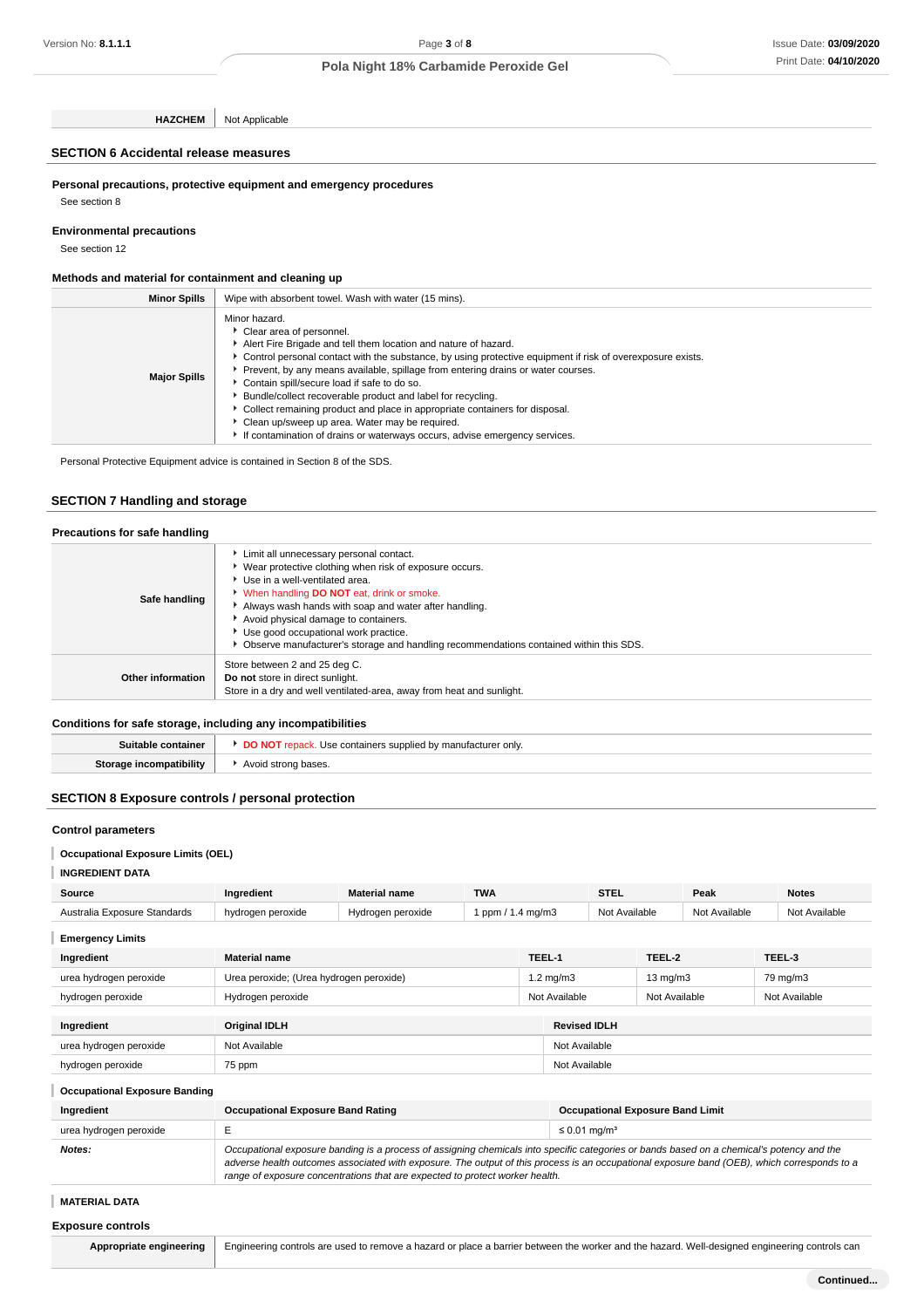**HAZCHEM** Not Applicable

## **SECTION 6 Accidental release measures**

**Personal precautions, protective equipment and emergency procedures**

See section 8

**Environmental precautions**

See section 12

### **Methods and material for containment and cleaning up**

| <b>Minor Spills</b> | Wipe with absorbent towel. Wash with water (15 mins).                                                                                                                                                                                                                                                                                                                                                                                                                                                                                                                                                                                           |
|---------------------|-------------------------------------------------------------------------------------------------------------------------------------------------------------------------------------------------------------------------------------------------------------------------------------------------------------------------------------------------------------------------------------------------------------------------------------------------------------------------------------------------------------------------------------------------------------------------------------------------------------------------------------------------|
| <b>Major Spills</b> | Minor hazard.<br>Clear area of personnel.<br>Alert Fire Brigade and tell them location and nature of hazard.<br>• Control personal contact with the substance, by using protective equipment if risk of overexposure exists.<br>Prevent, by any means available, spillage from entering drains or water courses.<br>Contain spill/secure load if safe to do so.<br>Bundle/collect recoverable product and label for recycling.<br>Collect remaining product and place in appropriate containers for disposal.<br>• Clean up/sweep up area. Water may be required.<br>If contamination of drains or waterways occurs, advise emergency services. |

Personal Protective Equipment advice is contained in Section 8 of the SDS.

### **SECTION 7 Handling and storage**

| Precautions for safe handling |                                                                                                                                                                                                                                                                                                                                                                                                                                |
|-------------------------------|--------------------------------------------------------------------------------------------------------------------------------------------------------------------------------------------------------------------------------------------------------------------------------------------------------------------------------------------------------------------------------------------------------------------------------|
| Safe handling                 | Limit all unnecessary personal contact.<br>▶ Wear protective clothing when risk of exposure occurs.<br>Use in a well-ventilated area.<br><b>When handling DO NOT</b> eat, drink or smoke.<br>Always wash hands with soap and water after handling.<br>Avoid physical damage to containers.<br>Use good occupational work practice.<br>▶ Observe manufacturer's storage and handling recommendations contained within this SDS. |
| Other information             | Store between 2 and 25 deg C.<br>Do not store in direct sunlight.<br>Store in a dry and well ventilated-area, away from heat and sunlight.                                                                                                                                                                                                                                                                                     |

### **Conditions for safe storage, including any incompatibilities**

| ntainer<br>sumable | : supplied by<br>≀ manuta<br>acturer<br>Use containers<br>* only. |
|--------------------|-------------------------------------------------------------------|
| atibilitv<br>Stora | * bases.<br>$\Lambda$<br>stronc<br>.<br>.                         |

### **SECTION 8 Exposure controls / personal protection**

### **Control parameters**

### **Occupational Exposure Limits (OEL)**

**INGREDIENT DATA**

| Source                       | Ingredient                              | <b>Material name</b> | <b>TWA</b>        |                                | <b>STEL</b>                               | Peak                           |          |               | <b>Notes</b>  |
|------------------------------|-----------------------------------------|----------------------|-------------------|--------------------------------|-------------------------------------------|--------------------------------|----------|---------------|---------------|
| Australia Exposure Standards | hydrogen peroxide                       | Hydrogen peroxide    | 1 ppm / 1.4 mg/m3 |                                |                                           | Not Available<br>Not Available |          |               | Not Available |
| <b>Emergency Limits</b>      |                                         |                      |                   |                                |                                           |                                |          |               |               |
| Ingredient                   | <b>Material name</b>                    |                      |                   | TEEL-1                         |                                           | TEEL-2                         |          | TEEL-3        |               |
| urea hydrogen peroxide       | Urea peroxide; (Urea hydrogen peroxide) |                      |                   |                                | $1.2 \text{ mg/m}$ 3<br>$13 \text{ mg/m}$ |                                | 79 mg/m3 |               |               |
| hydrogen peroxide            | Hydrogen peroxide                       |                      |                   | Not Available<br>Not Available |                                           |                                |          | Not Available |               |
| Ingredient                   | <b>Original IDLH</b>                    |                      |                   |                                | <b>Revised IDLH</b>                       |                                |          |               |               |
| urea hydrogen peroxide       | Not Available                           |                      |                   |                                | Not Available                             |                                |          |               |               |
| hydrogen peroxide            | 75 ppm                                  |                      |                   |                                | Not Available                             |                                |          |               |               |

| <b>Occupational Exposure Banding</b> |                                                                                                                                                                                                                                                                                                                                                                          |                                         |  |  |  |  |
|--------------------------------------|--------------------------------------------------------------------------------------------------------------------------------------------------------------------------------------------------------------------------------------------------------------------------------------------------------------------------------------------------------------------------|-----------------------------------------|--|--|--|--|
| Ingredient                           | <b>Occupational Exposure Band Rating</b>                                                                                                                                                                                                                                                                                                                                 | <b>Occupational Exposure Band Limit</b> |  |  |  |  |
| urea hydrogen peroxide               |                                                                                                                                                                                                                                                                                                                                                                          | $\leq$ 0.01 mg/m <sup>3</sup>           |  |  |  |  |
| Notes:                               | Occupational exposure banding is a process of assigning chemicals into specific categories or bands based on a chemical's potency and the<br>adverse health outcomes associated with exposure. The output of this process is an occupational exposure band (OEB), which corresponds to a<br>range of exposure concentrations that are expected to protect worker health. |                                         |  |  |  |  |

# **MATERIAL DATA**

| <b>Exposure controls</b> |  |
|--------------------------|--|
|                          |  |

Appropriate engineering Engineering controls are used to remove a hazard or place a barrier between the worker and the hazard. Well-designed engineering controls can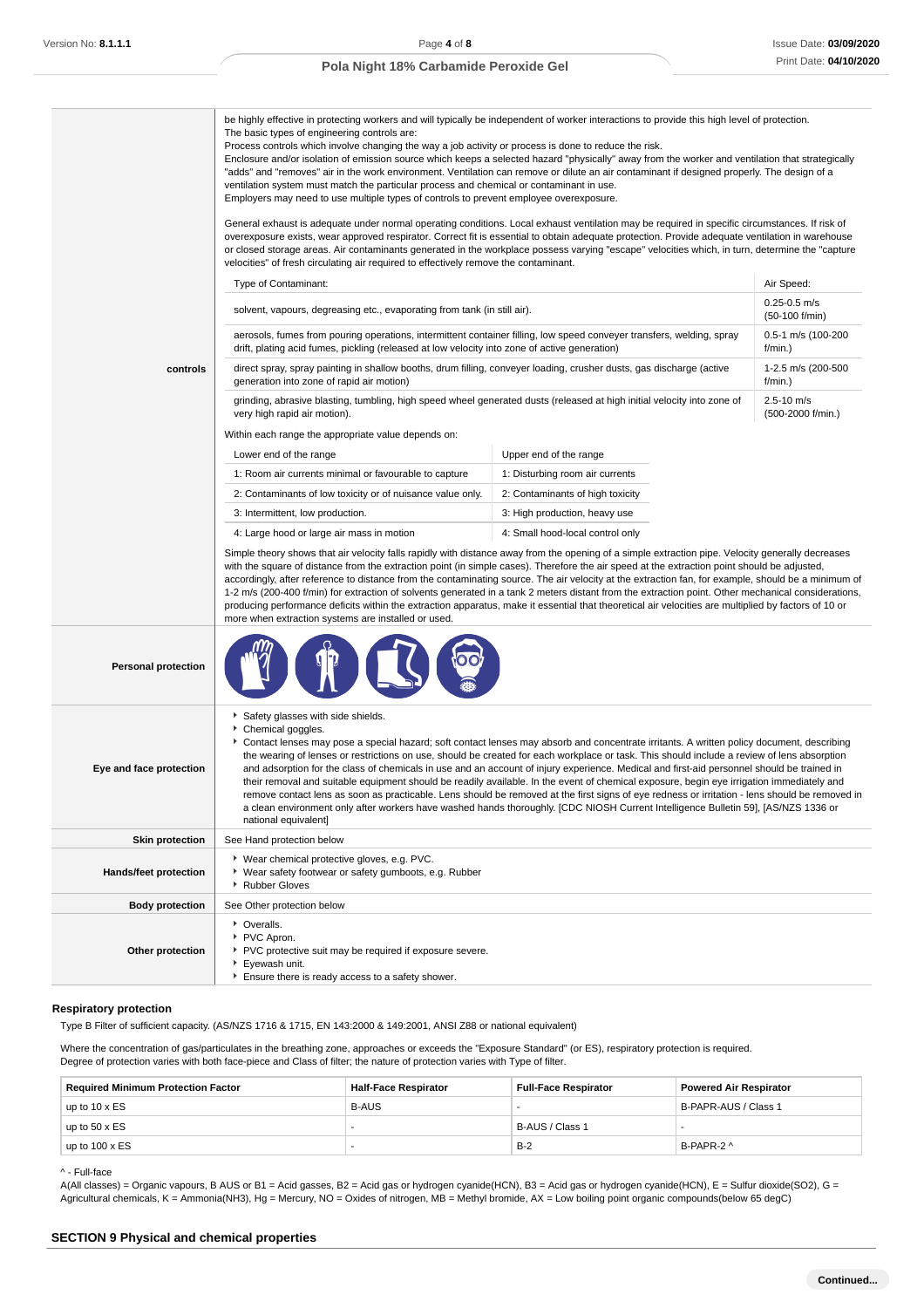|                            | be highly effective in protecting workers and will typically be independent of worker interactions to provide this high level of protection.<br>The basic types of engineering controls are:<br>Process controls which involve changing the way a job activity or process is done to reduce the risk.<br>Enclosure and/or isolation of emission source which keeps a selected hazard "physically" away from the worker and ventilation that strategically<br>"adds" and "removes" air in the work environment. Ventilation can remove or dilute an air contaminant if designed properly. The design of a<br>ventilation system must match the particular process and chemical or contaminant in use.<br>Employers may need to use multiple types of controls to prevent employee overexposure.<br>General exhaust is adequate under normal operating conditions. Local exhaust ventilation may be required in specific circumstances. If risk of<br>overexposure exists, wear approved respirator. Correct fit is essential to obtain adequate protection. Provide adequate ventilation in warehouse<br>or closed storage areas. Air contaminants generated in the workplace possess varying "escape" velocities which, in turn, determine the "capture<br>velocities" of fresh circulating air required to effectively remove the contaminant. |                                  |                                     |  |  |
|----------------------------|-------------------------------------------------------------------------------------------------------------------------------------------------------------------------------------------------------------------------------------------------------------------------------------------------------------------------------------------------------------------------------------------------------------------------------------------------------------------------------------------------------------------------------------------------------------------------------------------------------------------------------------------------------------------------------------------------------------------------------------------------------------------------------------------------------------------------------------------------------------------------------------------------------------------------------------------------------------------------------------------------------------------------------------------------------------------------------------------------------------------------------------------------------------------------------------------------------------------------------------------------------------------------------------------------------------------------------------------------|----------------------------------|-------------------------------------|--|--|
|                            | Type of Contaminant:                                                                                                                                                                                                                                                                                                                                                                                                                                                                                                                                                                                                                                                                                                                                                                                                                                                                                                                                                                                                                                                                                                                                                                                                                                                                                                                            |                                  | Air Speed:                          |  |  |
|                            | solvent, vapours, degreasing etc., evaporating from tank (in still air).                                                                                                                                                                                                                                                                                                                                                                                                                                                                                                                                                                                                                                                                                                                                                                                                                                                                                                                                                                                                                                                                                                                                                                                                                                                                        |                                  | $0.25 - 0.5$ m/s<br>(50-100 f/min)  |  |  |
|                            | aerosols, fumes from pouring operations, intermittent container filling, low speed conveyer transfers, welding, spray<br>drift, plating acid fumes, pickling (released at low velocity into zone of active generation)                                                                                                                                                                                                                                                                                                                                                                                                                                                                                                                                                                                                                                                                                                                                                                                                                                                                                                                                                                                                                                                                                                                          |                                  | 0.5-1 m/s (100-200<br>f/min.)       |  |  |
| controls                   | direct spray, spray painting in shallow booths, drum filling, conveyer loading, crusher dusts, gas discharge (active<br>generation into zone of rapid air motion)                                                                                                                                                                                                                                                                                                                                                                                                                                                                                                                                                                                                                                                                                                                                                                                                                                                                                                                                                                                                                                                                                                                                                                               |                                  | 1-2.5 m/s (200-500<br>$f/min.$ )    |  |  |
|                            | grinding, abrasive blasting, tumbling, high speed wheel generated dusts (released at high initial velocity into zone of<br>very high rapid air motion).                                                                                                                                                                                                                                                                                                                                                                                                                                                                                                                                                                                                                                                                                                                                                                                                                                                                                                                                                                                                                                                                                                                                                                                         |                                  | $2.5 - 10$ m/s<br>(500-2000 f/min.) |  |  |
|                            | Within each range the appropriate value depends on:                                                                                                                                                                                                                                                                                                                                                                                                                                                                                                                                                                                                                                                                                                                                                                                                                                                                                                                                                                                                                                                                                                                                                                                                                                                                                             |                                  |                                     |  |  |
|                            | Lower end of the range                                                                                                                                                                                                                                                                                                                                                                                                                                                                                                                                                                                                                                                                                                                                                                                                                                                                                                                                                                                                                                                                                                                                                                                                                                                                                                                          | Upper end of the range           |                                     |  |  |
|                            | 1: Room air currents minimal or favourable to capture                                                                                                                                                                                                                                                                                                                                                                                                                                                                                                                                                                                                                                                                                                                                                                                                                                                                                                                                                                                                                                                                                                                                                                                                                                                                                           | 1: Disturbing room air currents  |                                     |  |  |
|                            | 2: Contaminants of low toxicity or of nuisance value only.<br>2: Contaminants of high toxicity                                                                                                                                                                                                                                                                                                                                                                                                                                                                                                                                                                                                                                                                                                                                                                                                                                                                                                                                                                                                                                                                                                                                                                                                                                                  |                                  |                                     |  |  |
|                            | 3: Intermittent, low production.<br>3: High production, heavy use                                                                                                                                                                                                                                                                                                                                                                                                                                                                                                                                                                                                                                                                                                                                                                                                                                                                                                                                                                                                                                                                                                                                                                                                                                                                               |                                  |                                     |  |  |
|                            | 4: Large hood or large air mass in motion<br>Simple theory shows that air velocity falls rapidly with distance away from the opening of a simple extraction pipe. Velocity generally decreases<br>with the square of distance from the extraction point (in simple cases). Therefore the air speed at the extraction point should be adjusted,<br>accordingly, after reference to distance from the contaminating source. The air velocity at the extraction fan, for example, should be a minimum of<br>1-2 m/s (200-400 f/min) for extraction of solvents generated in a tank 2 meters distant from the extraction point. Other mechanical considerations,<br>producing performance deficits within the extraction apparatus, make it essential that theoretical air velocities are multiplied by factors of 10 or<br>more when extraction systems are installed or used.                                                                                                                                                                                                                                                                                                                                                                                                                                                                     | 4: Small hood-local control only |                                     |  |  |
| <b>Personal protection</b> |                                                                                                                                                                                                                                                                                                                                                                                                                                                                                                                                                                                                                                                                                                                                                                                                                                                                                                                                                                                                                                                                                                                                                                                                                                                                                                                                                 |                                  |                                     |  |  |
| Eye and face protection    | Safety glasses with side shields.<br>Chemical goggles.<br>Contact lenses may pose a special hazard; soft contact lenses may absorb and concentrate irritants. A written policy document, describing<br>the wearing of lenses or restrictions on use, should be created for each workplace or task. This should include a review of lens absorption<br>and adsorption for the class of chemicals in use and an account of injury experience. Medical and first-aid personnel should be trained in<br>their removal and suitable equipment should be readily available. In the event of chemical exposure, begin eye irrigation immediately and<br>remove contact lens as soon as practicable. Lens should be removed at the first signs of eye redness or irritation - lens should be removed in<br>a clean environment only after workers have washed hands thoroughly. [CDC NIOSH Current Intelligence Bulletin 59], [AS/NZS 1336 or<br>national equivalent]                                                                                                                                                                                                                                                                                                                                                                                   |                                  |                                     |  |  |
| <b>Skin protection</b>     | See Hand protection below                                                                                                                                                                                                                                                                                                                                                                                                                                                                                                                                                                                                                                                                                                                                                                                                                                                                                                                                                                                                                                                                                                                                                                                                                                                                                                                       |                                  |                                     |  |  |
| Hands/feet protection      | ▶ Wear chemical protective gloves, e.g. PVC.<br>▶ Wear safety footwear or safety gumboots, e.g. Rubber<br>Rubber Gloves                                                                                                                                                                                                                                                                                                                                                                                                                                                                                                                                                                                                                                                                                                                                                                                                                                                                                                                                                                                                                                                                                                                                                                                                                         |                                  |                                     |  |  |
| <b>Body protection</b>     | See Other protection below                                                                                                                                                                                                                                                                                                                                                                                                                                                                                                                                                                                                                                                                                                                                                                                                                                                                                                                                                                                                                                                                                                                                                                                                                                                                                                                      |                                  |                                     |  |  |
| Other protection           | • Overalls.<br>PVC Apron.<br>PVC protective suit may be required if exposure severe.<br>Eyewash unit.<br>Ensure there is ready access to a safety shower.                                                                                                                                                                                                                                                                                                                                                                                                                                                                                                                                                                                                                                                                                                                                                                                                                                                                                                                                                                                                                                                                                                                                                                                       |                                  |                                     |  |  |

### **Respiratory protection**

Type B Filter of sufficient capacity. (AS/NZS 1716 & 1715, EN 143:2000 & 149:2001, ANSI Z88 or national equivalent)

Where the concentration of gas/particulates in the breathing zone, approaches or exceeds the "Exposure Standard" (or ES), respiratory protection is required. Degree of protection varies with both face-piece and Class of filter; the nature of protection varies with Type of filter.

| <b>Required Minimum Protection Factor</b> | <b>Half-Face Respirator</b> | <b>Full-Face Respirator</b> | <b>Powered Air Respirator</b> |
|-------------------------------------------|-----------------------------|-----------------------------|-------------------------------|
| up to $10 \times ES$                      | <b>B-AUS</b>                |                             | B-PAPR-AUS / Class 1          |
| up to $50 \times ES$                      |                             | B-AUS / Class 1             |                               |
| up to $100 \times ES$                     |                             | $B-2$                       | B-PAPR-2 ^                    |

#### ^ - Full-face

A(All classes) = Organic vapours, B AUS or B1 = Acid gasses, B2 = Acid gas or hydrogen cyanide(HCN), B3 = Acid gas or hydrogen cyanide(HCN), E = Sulfur dioxide(SO2), G = Agricultural chemicals, K = Ammonia(NH3), Hg = Mercury, NO = Oxides of nitrogen, MB = Methyl bromide, AX = Low boiling point organic compounds(below 65 degC)

### **SECTION 9 Physical and chemical properties**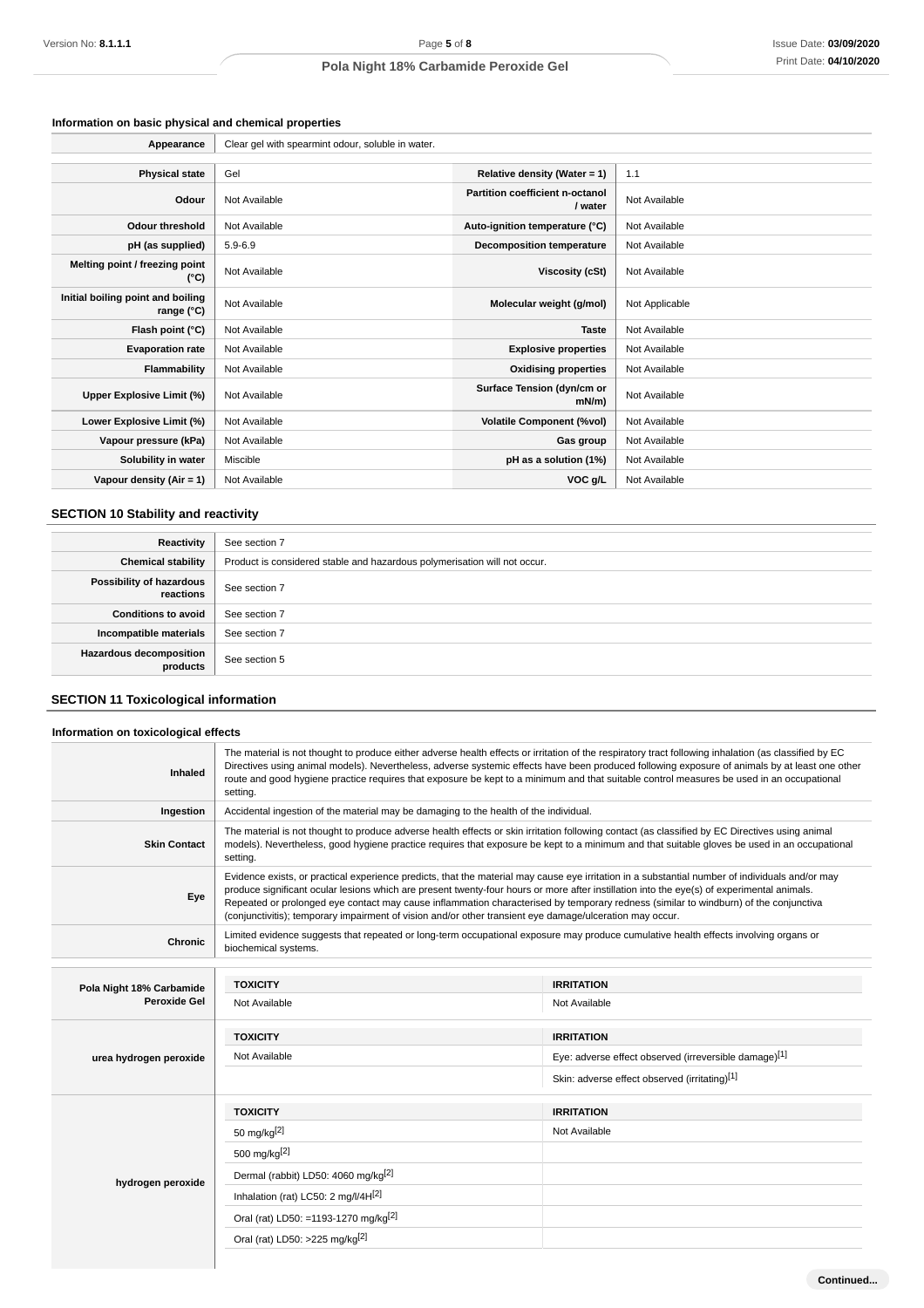## **Information on basic physical and chemical properties**

| Appearance                                      | Clear gel with spearmint odour, soluble in water. |                                                   |                |  |
|-------------------------------------------------|---------------------------------------------------|---------------------------------------------------|----------------|--|
|                                                 |                                                   |                                                   |                |  |
| <b>Physical state</b>                           | Gel                                               | Relative density (Water = 1)                      | 1.1            |  |
| Odour                                           | Not Available                                     | <b>Partition coefficient n-octanol</b><br>/ water | Not Available  |  |
| <b>Odour threshold</b>                          | Not Available                                     | Auto-ignition temperature (°C)                    | Not Available  |  |
| pH (as supplied)                                | $5.9 - 6.9$                                       | <b>Decomposition temperature</b>                  | Not Available  |  |
| Melting point / freezing point<br>(°C)          | Not Available                                     | Viscosity (cSt)                                   | Not Available  |  |
| Initial boiling point and boiling<br>range (°C) | Not Available                                     | Molecular weight (g/mol)                          | Not Applicable |  |
| Flash point (°C)                                | Not Available                                     | <b>Taste</b>                                      | Not Available  |  |
| <b>Evaporation rate</b>                         | Not Available                                     | <b>Explosive properties</b>                       | Not Available  |  |
| Flammability                                    | Not Available                                     | <b>Oxidising properties</b>                       | Not Available  |  |
| Upper Explosive Limit (%)                       | Not Available                                     | Surface Tension (dyn/cm or<br>mN/m                | Not Available  |  |
| Lower Explosive Limit (%)                       | Not Available                                     | <b>Volatile Component (%vol)</b>                  | Not Available  |  |
| Vapour pressure (kPa)                           | Not Available                                     | Gas group                                         | Not Available  |  |
| Solubility in water                             | Miscible                                          | pH as a solution (1%)                             | Not Available  |  |
| Vapour density $(Air = 1)$                      | Not Available                                     | VOC g/L                                           | Not Available  |  |

## **SECTION 10 Stability and reactivity**

| Reactivity                                 | See section 7                                                             |
|--------------------------------------------|---------------------------------------------------------------------------|
| <b>Chemical stability</b>                  | Product is considered stable and hazardous polymerisation will not occur. |
| Possibility of hazardous<br>reactions      | See section 7                                                             |
| <b>Conditions to avoid</b>                 | See section 7                                                             |
| Incompatible materials                     | See section 7                                                             |
| <b>Hazardous decomposition</b><br>products | See section 5                                                             |

# **SECTION 11 Toxicological information**

| Information on toxicological effects |                                                                                                                                                                                                                                                                                                                                                                                                                                                                  |                                                                                                                                                                                                                                                                                                                                                                                                                                                                                                                                                   |  |  |  |
|--------------------------------------|------------------------------------------------------------------------------------------------------------------------------------------------------------------------------------------------------------------------------------------------------------------------------------------------------------------------------------------------------------------------------------------------------------------------------------------------------------------|---------------------------------------------------------------------------------------------------------------------------------------------------------------------------------------------------------------------------------------------------------------------------------------------------------------------------------------------------------------------------------------------------------------------------------------------------------------------------------------------------------------------------------------------------|--|--|--|
| Inhaled                              | The material is not thought to produce either adverse health effects or irritation of the respiratory tract following inhalation (as classified by EC<br>Directives using animal models). Nevertheless, adverse systemic effects have been produced following exposure of animals by at least one other<br>route and good hygiene practice requires that exposure be kept to a minimum and that suitable control measures be used in an occupational<br>setting. |                                                                                                                                                                                                                                                                                                                                                                                                                                                                                                                                                   |  |  |  |
| Ingestion                            | Accidental ingestion of the material may be damaging to the health of the individual.                                                                                                                                                                                                                                                                                                                                                                            |                                                                                                                                                                                                                                                                                                                                                                                                                                                                                                                                                   |  |  |  |
| <b>Skin Contact</b>                  | setting.                                                                                                                                                                                                                                                                                                                                                                                                                                                         | The material is not thought to produce adverse health effects or skin irritation following contact (as classified by EC Directives using animal<br>models). Nevertheless, good hygiene practice requires that exposure be kept to a minimum and that suitable gloves be used in an occupational                                                                                                                                                                                                                                                   |  |  |  |
| Eye                                  |                                                                                                                                                                                                                                                                                                                                                                                                                                                                  | Evidence exists, or practical experience predicts, that the material may cause eye irritation in a substantial number of individuals and/or may<br>produce significant ocular lesions which are present twenty-four hours or more after instillation into the eye(s) of experimental animals.<br>Repeated or prolonged eye contact may cause inflammation characterised by temporary redness (similar to windburn) of the conjunctiva<br>(conjunctivitis); temporary impairment of vision and/or other transient eye damage/ulceration may occur. |  |  |  |
| Chronic                              | Limited evidence suggests that repeated or long-term occupational exposure may produce cumulative health effects involving organs or<br>biochemical systems.                                                                                                                                                                                                                                                                                                     |                                                                                                                                                                                                                                                                                                                                                                                                                                                                                                                                                   |  |  |  |
|                                      |                                                                                                                                                                                                                                                                                                                                                                                                                                                                  |                                                                                                                                                                                                                                                                                                                                                                                                                                                                                                                                                   |  |  |  |
| Pola Night 18% Carbamide             | <b>TOXICITY</b>                                                                                                                                                                                                                                                                                                                                                                                                                                                  | <b>IRRITATION</b>                                                                                                                                                                                                                                                                                                                                                                                                                                                                                                                                 |  |  |  |
| Peroxide Gel                         | Not Available                                                                                                                                                                                                                                                                                                                                                                                                                                                    | Not Available                                                                                                                                                                                                                                                                                                                                                                                                                                                                                                                                     |  |  |  |
|                                      | <b>TOXICITY</b>                                                                                                                                                                                                                                                                                                                                                                                                                                                  | <b>IRRITATION</b>                                                                                                                                                                                                                                                                                                                                                                                                                                                                                                                                 |  |  |  |
| urea hydrogen peroxide               | Not Available                                                                                                                                                                                                                                                                                                                                                                                                                                                    | Eye: adverse effect observed (irreversible damage)[1]                                                                                                                                                                                                                                                                                                                                                                                                                                                                                             |  |  |  |
|                                      |                                                                                                                                                                                                                                                                                                                                                                                                                                                                  | Skin: adverse effect observed (irritating)[1]                                                                                                                                                                                                                                                                                                                                                                                                                                                                                                     |  |  |  |
|                                      | <b>TOXICITY</b>                                                                                                                                                                                                                                                                                                                                                                                                                                                  | <b>IRRITATION</b>                                                                                                                                                                                                                                                                                                                                                                                                                                                                                                                                 |  |  |  |
|                                      | 50 mg/kg <sup>[2]</sup>                                                                                                                                                                                                                                                                                                                                                                                                                                          | Not Available                                                                                                                                                                                                                                                                                                                                                                                                                                                                                                                                     |  |  |  |
|                                      | 500 mg/kg <sup>[2]</sup>                                                                                                                                                                                                                                                                                                                                                                                                                                         |                                                                                                                                                                                                                                                                                                                                                                                                                                                                                                                                                   |  |  |  |
| hydrogen peroxide                    | Dermal (rabbit) LD50: 4060 mg/kg <sup>[2]</sup>                                                                                                                                                                                                                                                                                                                                                                                                                  |                                                                                                                                                                                                                                                                                                                                                                                                                                                                                                                                                   |  |  |  |
|                                      | Inhalation (rat) LC50: 2 mg/l/4H[2]                                                                                                                                                                                                                                                                                                                                                                                                                              |                                                                                                                                                                                                                                                                                                                                                                                                                                                                                                                                                   |  |  |  |
|                                      | Oral (rat) LD50: =1193-1270 mg/kg <sup>[2]</sup>                                                                                                                                                                                                                                                                                                                                                                                                                 |                                                                                                                                                                                                                                                                                                                                                                                                                                                                                                                                                   |  |  |  |
|                                      | Oral (rat) LD50: >225 mg/kg <sup>[2]</sup>                                                                                                                                                                                                                                                                                                                                                                                                                       |                                                                                                                                                                                                                                                                                                                                                                                                                                                                                                                                                   |  |  |  |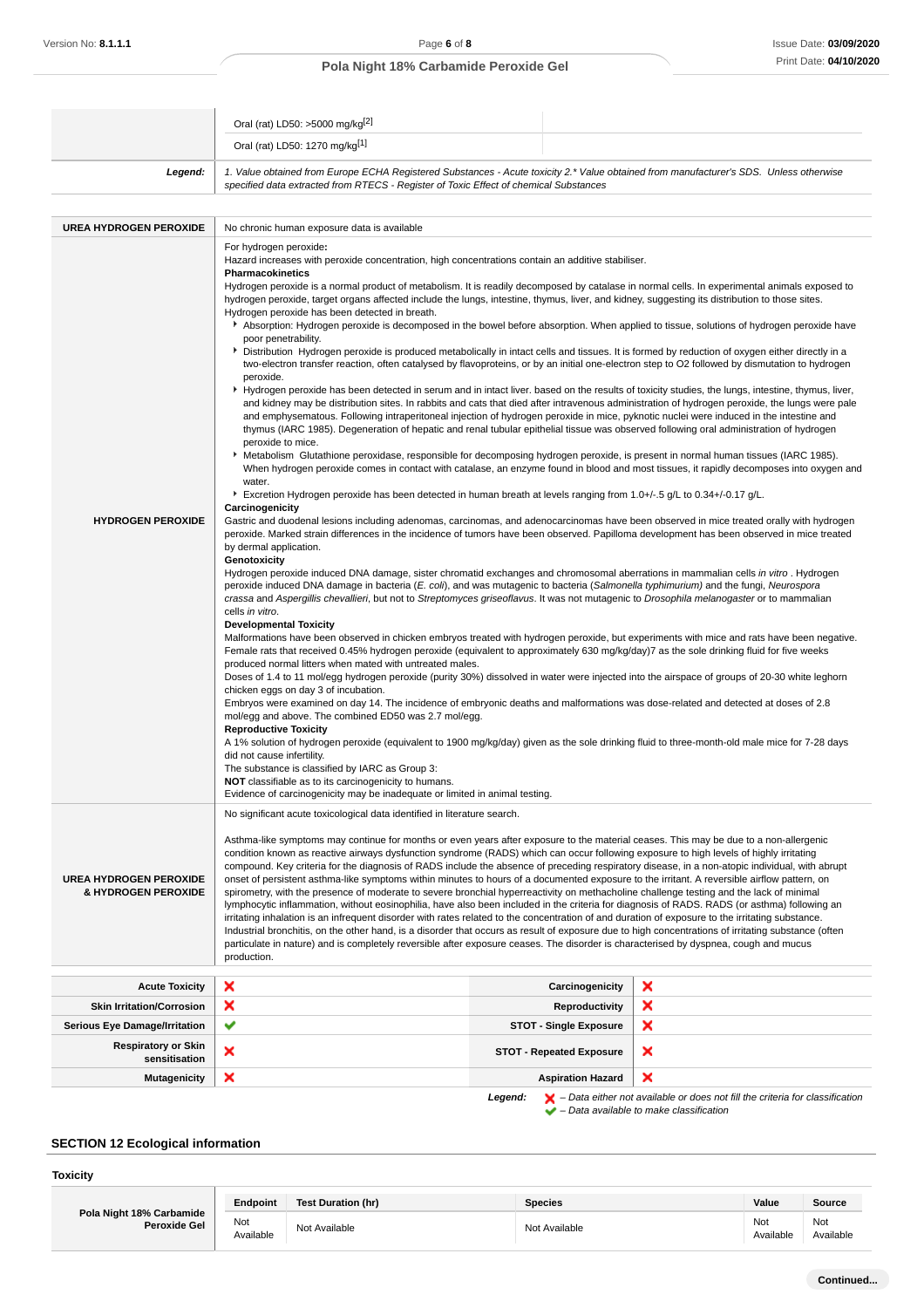|                                                      | Oral (rat) LD50: >5000 mg/kg <sup>[2]</sup>                                                                                                                                                                                                                                                                                                                                                                                                                                                                                                                                                                                                                                                                                                                                                                                                                                                                                                                                                                                                                                                                                                                                                                                                                                                                                                                                                                                                                                                                                                                                                                                                                                                                                                                                                                                                                                                                                                                                                                                                                                                                                                                                                                                                                                                                                                                                                                                                                                                                                                                                                                                                                                                                                                                                                                                                                                                                                                                                                                                                                                                                                                                                                                                                                                                                                                                                                                                                                                                                                                                                                                                                                                                                                                                                                                                                                                                                                                                                                                                                |                                 |                                                                                                                                                                     |  |  |
|------------------------------------------------------|--------------------------------------------------------------------------------------------------------------------------------------------------------------------------------------------------------------------------------------------------------------------------------------------------------------------------------------------------------------------------------------------------------------------------------------------------------------------------------------------------------------------------------------------------------------------------------------------------------------------------------------------------------------------------------------------------------------------------------------------------------------------------------------------------------------------------------------------------------------------------------------------------------------------------------------------------------------------------------------------------------------------------------------------------------------------------------------------------------------------------------------------------------------------------------------------------------------------------------------------------------------------------------------------------------------------------------------------------------------------------------------------------------------------------------------------------------------------------------------------------------------------------------------------------------------------------------------------------------------------------------------------------------------------------------------------------------------------------------------------------------------------------------------------------------------------------------------------------------------------------------------------------------------------------------------------------------------------------------------------------------------------------------------------------------------------------------------------------------------------------------------------------------------------------------------------------------------------------------------------------------------------------------------------------------------------------------------------------------------------------------------------------------------------------------------------------------------------------------------------------------------------------------------------------------------------------------------------------------------------------------------------------------------------------------------------------------------------------------------------------------------------------------------------------------------------------------------------------------------------------------------------------------------------------------------------------------------------------------------------------------------------------------------------------------------------------------------------------------------------------------------------------------------------------------------------------------------------------------------------------------------------------------------------------------------------------------------------------------------------------------------------------------------------------------------------------------------------------------------------------------------------------------------------------------------------------------------------------------------------------------------------------------------------------------------------------------------------------------------------------------------------------------------------------------------------------------------------------------------------------------------------------------------------------------------------------------------------------------------------------------------------------------------------|---------------------------------|---------------------------------------------------------------------------------------------------------------------------------------------------------------------|--|--|
|                                                      | Oral (rat) LD50: 1270 mg/kg[1]                                                                                                                                                                                                                                                                                                                                                                                                                                                                                                                                                                                                                                                                                                                                                                                                                                                                                                                                                                                                                                                                                                                                                                                                                                                                                                                                                                                                                                                                                                                                                                                                                                                                                                                                                                                                                                                                                                                                                                                                                                                                                                                                                                                                                                                                                                                                                                                                                                                                                                                                                                                                                                                                                                                                                                                                                                                                                                                                                                                                                                                                                                                                                                                                                                                                                                                                                                                                                                                                                                                                                                                                                                                                                                                                                                                                                                                                                                                                                                                                             |                                 |                                                                                                                                                                     |  |  |
| Legend:                                              | 1. Value obtained from Europe ECHA Registered Substances - Acute toxicity 2.* Value obtained from manufacturer's SDS. Unless otherwise<br>specified data extracted from RTECS - Register of Toxic Effect of chemical Substances                                                                                                                                                                                                                                                                                                                                                                                                                                                                                                                                                                                                                                                                                                                                                                                                                                                                                                                                                                                                                                                                                                                                                                                                                                                                                                                                                                                                                                                                                                                                                                                                                                                                                                                                                                                                                                                                                                                                                                                                                                                                                                                                                                                                                                                                                                                                                                                                                                                                                                                                                                                                                                                                                                                                                                                                                                                                                                                                                                                                                                                                                                                                                                                                                                                                                                                                                                                                                                                                                                                                                                                                                                                                                                                                                                                                            |                                 |                                                                                                                                                                     |  |  |
| <b>UREA HYDROGEN PEROXIDE</b>                        | No chronic human exposure data is available                                                                                                                                                                                                                                                                                                                                                                                                                                                                                                                                                                                                                                                                                                                                                                                                                                                                                                                                                                                                                                                                                                                                                                                                                                                                                                                                                                                                                                                                                                                                                                                                                                                                                                                                                                                                                                                                                                                                                                                                                                                                                                                                                                                                                                                                                                                                                                                                                                                                                                                                                                                                                                                                                                                                                                                                                                                                                                                                                                                                                                                                                                                                                                                                                                                                                                                                                                                                                                                                                                                                                                                                                                                                                                                                                                                                                                                                                                                                                                                                |                                 |                                                                                                                                                                     |  |  |
| <b>HYDROGEN PEROXIDE</b>                             | For hydrogen peroxide:<br>Hazard increases with peroxide concentration, high concentrations contain an additive stabiliser.<br><b>Pharmacokinetics</b><br>Hydrogen peroxide is a normal product of metabolism. It is readily decomposed by catalase in normal cells. In experimental animals exposed to<br>hydrogen peroxide, target organs affected include the lungs, intestine, thymus, liver, and kidney, suggesting its distribution to those sites.<br>Hydrogen peroxide has been detected in breath.<br>Absorption: Hydrogen peroxide is decomposed in the bowel before absorption. When applied to tissue, solutions of hydrogen peroxide have<br>poor penetrability.<br>▶ Distribution Hydrogen peroxide is produced metabolically in intact cells and tissues. It is formed by reduction of oxygen either directly in a<br>two-electron transfer reaction, often catalysed by flavoproteins, or by an initial one-electron step to O2 followed by dismutation to hydrogen<br>peroxide.<br>▶ Hydrogen peroxide has been detected in serum and in intact liver. based on the results of toxicity studies, the lungs, intestine, thymus, liver,<br>and kidney may be distribution sites. In rabbits and cats that died after intravenous administration of hydrogen peroxide, the lungs were pale<br>and emphysematous. Following intraperitoneal injection of hydrogen peroxide in mice, pyknotic nuclei were induced in the intestine and<br>thymus (IARC 1985). Degeneration of hepatic and renal tubular epithelial tissue was observed following oral administration of hydrogen<br>peroxide to mice.<br>▶ Metabolism Glutathione peroxidase, responsible for decomposing hydrogen peroxide, is present in normal human tissues (IARC 1985).<br>When hydrogen peroxide comes in contact with catalase, an enzyme found in blood and most tissues, it rapidly decomposes into oxygen and<br>water.<br>Excretion Hydrogen peroxide has been detected in human breath at levels ranging from 1.0+/-.5 g/L to 0.34+/-0.17 g/L.<br>Carcinogenicity<br>Gastric and duodenal lesions including adenomas, carcinomas, and adenocarcinomas have been observed in mice treated orally with hydrogen<br>peroxide. Marked strain differences in the incidence of tumors have been observed. Papilloma development has been observed in mice treated<br>by dermal application.<br>Genotoxicity<br>Hydrogen peroxide induced DNA damage, sister chromatid exchanges and chromosomal aberrations in mammalian cells in vitro. Hydrogen<br>peroxide induced DNA damage in bacteria (E. coli), and was mutagenic to bacteria (Salmonella typhimurium) and the fungi, Neurospora<br>crassa and Aspergillis chevallieri, but not to Streptomyces griseoflavus. It was not mutagenic to Drosophila melanogaster or to mammalian<br>cells in vitro.<br><b>Developmental Toxicity</b><br>Malformations have been observed in chicken embryos treated with hydrogen peroxide, but experiments with mice and rats have been negative.<br>Female rats that received 0.45% hydrogen peroxide (equivalent to approximately 630 mg/kg/day)7 as the sole drinking fluid for five weeks<br>produced normal litters when mated with untreated males.<br>Doses of 1.4 to 11 mol/egg hydrogen peroxide (purity 30%) dissolved in water were injected into the airspace of groups of 20-30 white leghorn<br>chicken eggs on day 3 of incubation.<br>Embryos were examined on day 14. The incidence of embryonic deaths and malformations was dose-related and detected at doses of 2.8<br>mol/egg and above. The combined ED50 was 2.7 mol/egg.<br><b>Reproductive Toxicity</b><br>A 1% solution of hydrogen peroxide (equivalent to 1900 mg/kg/day) given as the sole drinking fluid to three-month-old male mice for 7-28 days<br>did not cause infertility.<br>The substance is classified by IARC as Group 3:<br><b>NOT</b> classifiable as to its carcinogenicity to humans.<br>Evidence of carcinogenicity may be inadequate or limited in animal testing. |                                 |                                                                                                                                                                     |  |  |
| <b>UREA HYDROGEN PEROXIDE</b><br>& HYDROGEN PEROXIDE | No significant acute toxicological data identified in literature search.<br>Asthma-like symptoms may continue for months or even years after exposure to the material ceases. This may be due to a non-allergenic<br>condition known as reactive airways dysfunction syndrome (RADS) which can occur following exposure to high levels of highly irritating<br>compound. Key criteria for the diagnosis of RADS include the absence of preceding respiratory disease, in a non-atopic individual, with abrupt<br>onset of persistent asthma-like symptoms within minutes to hours of a documented exposure to the irritant. A reversible airflow pattern, on<br>spirometry, with the presence of moderate to severe bronchial hyperreactivity on methacholine challenge testing and the lack of minimal<br>lymphocytic inflammation, without eosinophilia, have also been included in the criteria for diagnosis of RADS. RADS (or asthma) following an<br>irritating inhalation is an infrequent disorder with rates related to the concentration of and duration of exposure to the irritating substance.<br>Industrial bronchitis, on the other hand, is a disorder that occurs as result of exposure due to high concentrations of irritating substance (often<br>particulate in nature) and is completely reversible after exposure ceases. The disorder is characterised by dyspnea, cough and mucus<br>production.                                                                                                                                                                                                                                                                                                                                                                                                                                                                                                                                                                                                                                                                                                                                                                                                                                                                                                                                                                                                                                                                                                                                                                                                                                                                                                                                                                                                                                                                                                                                                                                                                                                                                                                                                                                                                                                                                                                                                                                                                                                                                                                                                                                                                                                                                                                                                                                                                                                                                                                                                                                                                  |                                 |                                                                                                                                                                     |  |  |
| <b>Acute Toxicity</b>                                | ×                                                                                                                                                                                                                                                                                                                                                                                                                                                                                                                                                                                                                                                                                                                                                                                                                                                                                                                                                                                                                                                                                                                                                                                                                                                                                                                                                                                                                                                                                                                                                                                                                                                                                                                                                                                                                                                                                                                                                                                                                                                                                                                                                                                                                                                                                                                                                                                                                                                                                                                                                                                                                                                                                                                                                                                                                                                                                                                                                                                                                                                                                                                                                                                                                                                                                                                                                                                                                                                                                                                                                                                                                                                                                                                                                                                                                                                                                                                                                                                                                                          | Carcinogenicity                 | ×                                                                                                                                                                   |  |  |
| <b>Skin Irritation/Corrosion</b>                     | ×                                                                                                                                                                                                                                                                                                                                                                                                                                                                                                                                                                                                                                                                                                                                                                                                                                                                                                                                                                                                                                                                                                                                                                                                                                                                                                                                                                                                                                                                                                                                                                                                                                                                                                                                                                                                                                                                                                                                                                                                                                                                                                                                                                                                                                                                                                                                                                                                                                                                                                                                                                                                                                                                                                                                                                                                                                                                                                                                                                                                                                                                                                                                                                                                                                                                                                                                                                                                                                                                                                                                                                                                                                                                                                                                                                                                                                                                                                                                                                                                                                          | Reproductivity                  | ×                                                                                                                                                                   |  |  |
| <b>Serious Eye Damage/Irritation</b>                 | ✔                                                                                                                                                                                                                                                                                                                                                                                                                                                                                                                                                                                                                                                                                                                                                                                                                                                                                                                                                                                                                                                                                                                                                                                                                                                                                                                                                                                                                                                                                                                                                                                                                                                                                                                                                                                                                                                                                                                                                                                                                                                                                                                                                                                                                                                                                                                                                                                                                                                                                                                                                                                                                                                                                                                                                                                                                                                                                                                                                                                                                                                                                                                                                                                                                                                                                                                                                                                                                                                                                                                                                                                                                                                                                                                                                                                                                                                                                                                                                                                                                                          | <b>STOT - Single Exposure</b>   | ×                                                                                                                                                                   |  |  |
| <b>Respiratory or Skin</b><br>sensitisation          | ×                                                                                                                                                                                                                                                                                                                                                                                                                                                                                                                                                                                                                                                                                                                                                                                                                                                                                                                                                                                                                                                                                                                                                                                                                                                                                                                                                                                                                                                                                                                                                                                                                                                                                                                                                                                                                                                                                                                                                                                                                                                                                                                                                                                                                                                                                                                                                                                                                                                                                                                                                                                                                                                                                                                                                                                                                                                                                                                                                                                                                                                                                                                                                                                                                                                                                                                                                                                                                                                                                                                                                                                                                                                                                                                                                                                                                                                                                                                                                                                                                                          | <b>STOT - Repeated Exposure</b> | ×                                                                                                                                                                   |  |  |
| <b>Mutagenicity</b>                                  | ×                                                                                                                                                                                                                                                                                                                                                                                                                                                                                                                                                                                                                                                                                                                                                                                                                                                                                                                                                                                                                                                                                                                                                                                                                                                                                                                                                                                                                                                                                                                                                                                                                                                                                                                                                                                                                                                                                                                                                                                                                                                                                                                                                                                                                                                                                                                                                                                                                                                                                                                                                                                                                                                                                                                                                                                                                                                                                                                                                                                                                                                                                                                                                                                                                                                                                                                                                                                                                                                                                                                                                                                                                                                                                                                                                                                                                                                                                                                                                                                                                                          | <b>Aspiration Hazard</b>        | ×                                                                                                                                                                   |  |  |
|                                                      | Legend:                                                                                                                                                                                                                                                                                                                                                                                                                                                                                                                                                                                                                                                                                                                                                                                                                                                                                                                                                                                                                                                                                                                                                                                                                                                                                                                                                                                                                                                                                                                                                                                                                                                                                                                                                                                                                                                                                                                                                                                                                                                                                                                                                                                                                                                                                                                                                                                                                                                                                                                                                                                                                                                                                                                                                                                                                                                                                                                                                                                                                                                                                                                                                                                                                                                                                                                                                                                                                                                                                                                                                                                                                                                                                                                                                                                                                                                                                                                                                                                                                                    |                                 | $\blacktriangleright$ - Data either not available or does not fill the criteria for classification<br>$\blacktriangleright$ - Data available to make classification |  |  |

# **SECTION 12 Ecological information**

### **Toxicity**

|                                                 | <b>Endpoint</b>  | Test Duration (hr) | Species       | Value            | Source           |
|-------------------------------------------------|------------------|--------------------|---------------|------------------|------------------|
| Pola Night 18% Carbamide<br><b>Peroxide Gel</b> | Not<br>Available | Not Available      | Not Available | Not<br>Available | Not<br>Available |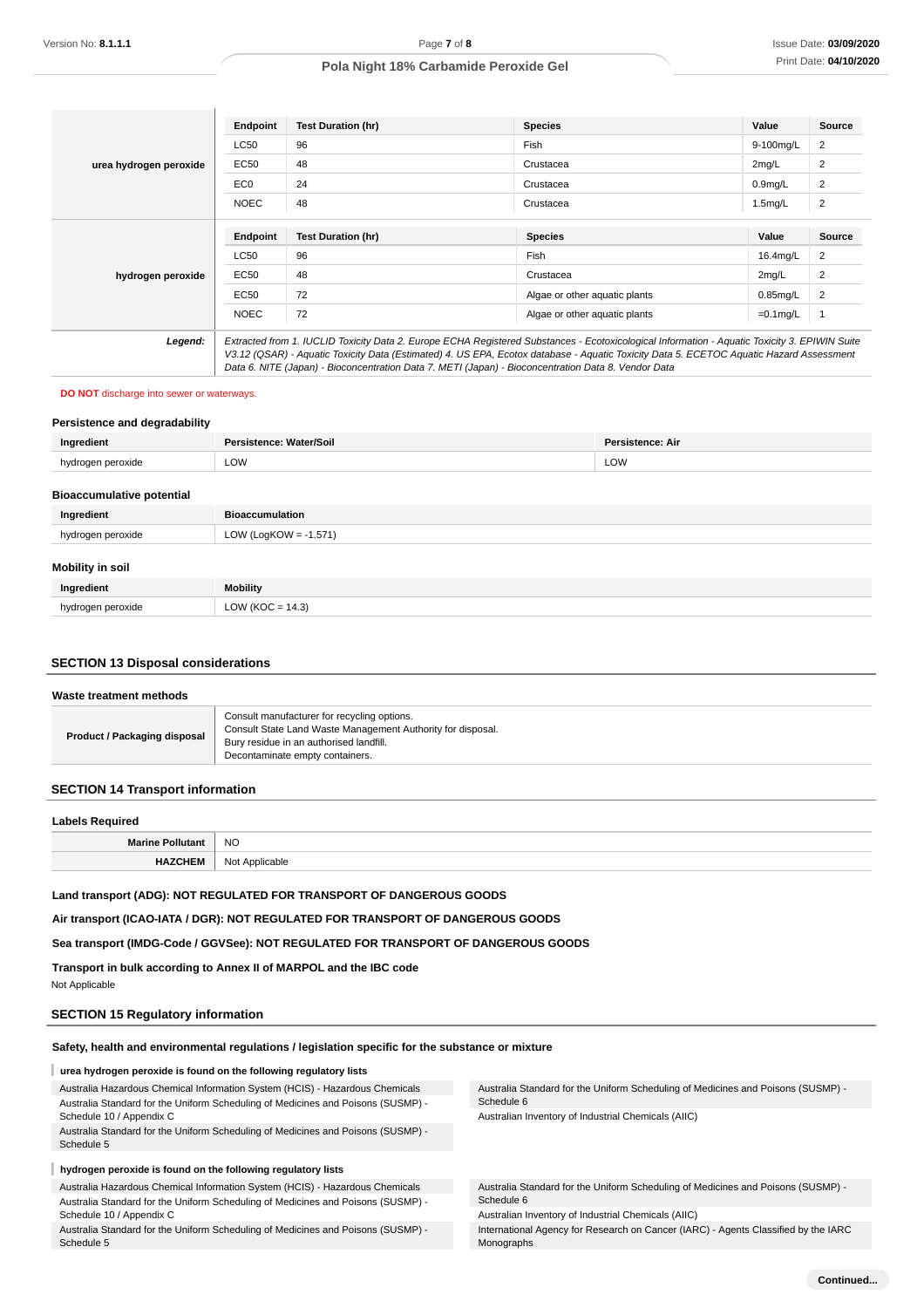|                        | <b>Endpoint</b> | <b>Test Duration (hr)</b>                                                                                                                                                                                                                                                                                                                                                                       | <b>Species</b>                | Value               | Source         |
|------------------------|-----------------|-------------------------------------------------------------------------------------------------------------------------------------------------------------------------------------------------------------------------------------------------------------------------------------------------------------------------------------------------------------------------------------------------|-------------------------------|---------------------|----------------|
| urea hydrogen peroxide | <b>LC50</b>     | 96                                                                                                                                                                                                                                                                                                                                                                                              | Fish                          | 9-100mg/L           | 2              |
|                        | EC50            | 48                                                                                                                                                                                                                                                                                                                                                                                              | Crustacea                     | 2mg/L               | 2              |
|                        | EC <sub>0</sub> | 24                                                                                                                                                                                                                                                                                                                                                                                              | Crustacea                     | 0.9 <sub>mg/L</sub> | 2              |
|                        | <b>NOEC</b>     | 48                                                                                                                                                                                                                                                                                                                                                                                              | Crustacea                     | 1.5mg/L             | $\overline{c}$ |
|                        |                 |                                                                                                                                                                                                                                                                                                                                                                                                 |                               |                     |                |
|                        | <b>Endpoint</b> | <b>Test Duration (hr)</b>                                                                                                                                                                                                                                                                                                                                                                       | <b>Species</b>                | Value               | Source         |
|                        | <b>LC50</b>     | 96                                                                                                                                                                                                                                                                                                                                                                                              | Fish                          | 16.4mg/L            | 2              |
| hydrogen peroxide      | EC50            | 48                                                                                                                                                                                                                                                                                                                                                                                              | Crustacea                     | 2mg/L               | $\overline{2}$ |
|                        | EC50            | 72                                                                                                                                                                                                                                                                                                                                                                                              | Algae or other aquatic plants | $0.85$ mg/L         | 2              |
|                        | <b>NOEC</b>     | 72                                                                                                                                                                                                                                                                                                                                                                                              | Algae or other aquatic plants | $=0.1$ mg/L         |                |
| Legend:                |                 | Extracted from 1. IUCLID Toxicity Data 2. Europe ECHA Registered Substances - Ecotoxicological Information - Aquatic Toxicity 3. EPIWIN Suite<br>V3.12 (QSAR) - Aquatic Toxicity Data (Estimated) 4. US EPA, Ecotox database - Aquatic Toxicity Data 5. ECETOC Aquatic Hazard Assessment<br>Data 6. NITE (Japan) - Bioconcentration Data 7. METI (Japan) - Bioconcentration Data 8. Vendor Data |                               |                     |                |

#### **DO NOT** discharge into sewer or waterways.

#### **Persistence and degradability**

| Ingredient | sistence: Water/Soil | <b>Persistence: Air</b> |
|------------|----------------------|-------------------------|
| narovida   | <b>LOW</b>           | <b>LOW</b>              |
|            |                      |                         |

#### **Bioaccumulative potential**

| Ingredient              | <b>Bioaccumulation</b>   |
|-------------------------|--------------------------|
| hydrogen peroxide       | LOW (LogKOW = $-1.571$ ) |
| <b>Mobility in soil</b> |                          |
| .                       | -- - ---                 |

| Ingredient                                | Mobility                                                 |
|-------------------------------------------|----------------------------------------------------------|
| hydrogen peroxide<br>$\sim$ $\sim$ $\sim$ | 14 $\overline{3}$<br>$\bigcap_{\Lambda}$<br>$\mathbf{K}$ |

#### **SECTION 13 Disposal considerations**

#### **Waste treatment methods**

| Consult State Land Waste Management Authority for disposal.<br><b>Product / Packaging disposal</b><br>Bury residue in an authorised landfill. | Decontaminate empty containers. |  | Consult manufacturer for recycling options. |
|-----------------------------------------------------------------------------------------------------------------------------------------------|---------------------------------|--|---------------------------------------------|
|-----------------------------------------------------------------------------------------------------------------------------------------------|---------------------------------|--|---------------------------------------------|

### **SECTION 14 Transport information**

### **Labels Required**

| -------------                  |                   |
|--------------------------------|-------------------|
| Mori<br>IVIC                   | <b>NO</b>         |
| сw<br>$\overline{\phantom{a}}$ | Not<br>Applicable |
|                                |                   |

### **Land transport (ADG): NOT REGULATED FOR TRANSPORT OF DANGEROUS GOODS**

**Air transport (ICAO-IATA / DGR): NOT REGULATED FOR TRANSPORT OF DANGEROUS GOODS**

### **Sea transport (IMDG-Code / GGVSee): NOT REGULATED FOR TRANSPORT OF DANGEROUS GOODS**

**Transport in bulk according to Annex II of MARPOL and the IBC code**

### Not Applicable

#### **SECTION 15 Regulatory information**

### **Safety, health and environmental regulations / legislation specific for the substance or mixture**

#### **urea hydrogen peroxide is found on the following regulatory lists**

Australia Hazardous Chemical Information System (HCIS) - Hazardous Chemicals Australia Standard for the Uniform Scheduling of Medicines and Poisons (SUSMP) - Schedule 10 / Appendix C

Australia Standard for the Uniform Scheduling of Medicines and Poisons (SUSMP) - Schedule 5

#### **hydrogen peroxide is found on the following regulatory lists**

Australia Hazardous Chemical Information System (HCIS) - Hazardous Chemicals Australia Standard for the Uniform Scheduling of Medicines and Poisons (SUSMP) - Schedule 10 / Appendix C

Australia Standard for the Uniform Scheduling of Medicines and Poisons (SUSMP) - Schedule 5

Australia Standard for the Uniform Scheduling of Medicines and Poisons (SUSMP) - Schedule 6

Australian Inventory of Industrial Chemicals (AIIC)

Australia Standard for the Uniform Scheduling of Medicines and Poisons (SUSMP) - Schedule 6

Australian Inventory of Industrial Chemicals (AIIC)

International Agency for Research on Cancer (IARC) - Agents Classified by the IARC Monographs